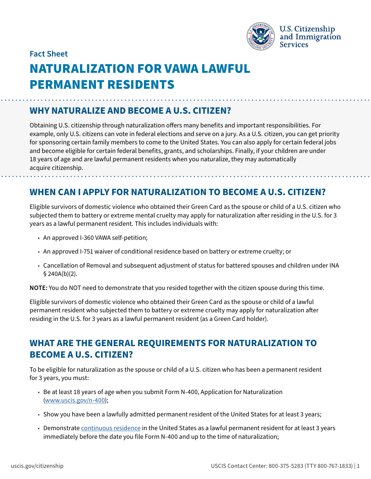

#### **Fact Sheet**

# NATURALIZATION FOR VAWA LAWFUL PERMANENT RESIDENTS

#### **WHY NATURALIZE AND BECOME A U.S. CITIZEN?**

Obtaining U.S. citizenship through naturalization offers many benefits and important responsibilities. For example, only U.S. citizens can vote in federal elections and serve on a jury. As a U.S. citizen, you can get priority for sponsoring certain family members to come to the United States. You can also apply for certain federal jobs and become eligible for certain federal benefits, grants, and scholarships. Finally, if your children are under 18 years of age and are lawful permanent residents when you naturalize, they may automatically acquire citizenship.

### **WHEN CAN I APPLY FOR NATURALIZATION TO BECOME A U.S. CITIZEN?**

Eligible survivors of domestic violence who obtained their Green Card as the spouse or child of a U.S. citizen who subjected them to battery or extreme mental cruelty may apply for naturalization after residing in the U.S. for 3 years as a lawful permanent resident. This includes individuals with:

- An approved I-360 VAWA self-petition;
- An approved I-751 waiver of conditional residence based on battery or extreme cruelty; or
- Cancellation of Removal and subsequent adjustment of status for battered spouses and children under INA § 240A(b)(2).

**NOTE:** You do NOT need to demonstrate that you resided together with the citizen spouse during this time.

Eligible survivors of domestic violence who obtained their Green Card as the spouse or child of a lawful permanent resident who subjected them to battery or extreme cruelty may apply for naturalization after residing in the U.S. for 3 years as a lawful permanent resident (as a Green Card holder).

# **WHAT ARE THE GENERAL REQUIREMENTS FOR NATURALIZATION TO BECOME A U.S. CITIZEN?**

To be eligible for naturalization as the spouse or child of a U.S. citizen who has been a permanent resident for 3 years, you must:

- Be at least 18 years of age when you submit Form N-400, Application for Naturalization ([www.uscis.gov/n-400](http://www.uscis.gov/n-400));
- Show you have been a lawfully admitted permanent resident of the United States for at least 3 years;
- Demonstrate [continuous residence](https://www.uscis.gov/policy-manual/volume-12-part-d-chapter-3) in the United States as a lawful permanent resident for at least 3 years immediately before the date you file Form N-400 and up to the time of naturalization;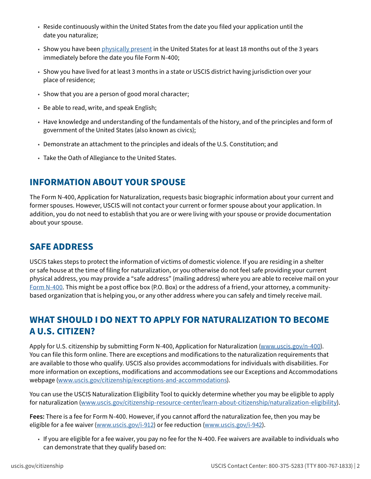- Reside continuously within the United States from the date you filed your application until the date you naturalize;
- Show you have been [physically present](https://www.uscis.gov/policy-manual/volume-12-part-d-chapter-4) in the United States for at least 18 months out of the 3 years immediately before the date you file Form N-400;
- Show you have lived for at least 3 months in a state or USCIS district having jurisdiction over your place of residence;
- Show that you are a person of good moral character;
- Be able to read, write, and speak English;
- Have knowledge and understanding of the fundamentals of the history, and of the principles and form of government of the United States (also known as civics);
- Demonstrate an attachment to the principles and ideals of the U.S. Constitution; and
- Take the Oath of Allegiance to the United States.

## **INFORMATION ABOUT YOUR SPOUSE**

The Form N-400, Application for Naturalization, requests basic biographic information about your current and former spouses. However, USCIS will not contact your current or former spouse about your application. In addition, you do not need to establish that you are or were living with your spouse or provide documentation about your spouse.

### **SAFE ADDRESS**

USCIS takes steps to protect the information of victims of domestic violence. If you are residing in a shelter or safe house at the time of filing for naturalization, or you otherwise do not feel safe providing your current physical address, you may provide a "safe address" (mailing address) where you are able to receive mail on your [Form N-400](https://www.uscis.gov/n-400). This might be a post office box (P.O. Box) or the address of a friend, your attorney, a communitybased organization that is helping you, or any other address where you can safely and timely receive mail.

# **WHAT SHOULD I DO NEXT TO APPLY FOR NATURALIZATION TO BECOME A U.S. CITIZEN?**

Apply for U.S. citizenship by submitting Form N-400, Application for Naturalization [\(www.uscis.gov/n-400\)](http://www.uscis.gov/n-400). You can file this form online. There are exceptions and modifications to the naturalization requirements that are available to those who qualify. USCIS also provides accommodations for individuals with disabilities. For more information on exceptions, modifications and accommodations see our Exceptions and Accommodations webpage [\(www.uscis.gov/citizenship/exceptions-and-accommodations](http://www.uscis.gov/citizenship/exceptions-and-accommodations)).

You can use the USCIS Naturalization Eligibility Tool to quickly determine whether you may be eligible to apply for naturalization [\(www.uscis.gov/citizenship-resource-center/learn-about-citizenship/naturalization-eligibility\)](http://www.uscis.gov/citizenship-resource-center/learn-about-citizenship/naturalization-eligibility).

**Fees:** There is a fee for Form N-400. However, if you cannot afford the naturalization fee, then you may be eligible for a fee waiver [\(www.uscis.gov/i-912\)](http://www.uscis.gov/i-912) or fee reduction [\(www.uscis.gov/i-942\)](http://www.uscis.gov/i-942).

• If you are eligible for a fee waiver, you pay no fee for the N-400. Fee waivers are available to individuals who can demonstrate that they qualify based on: